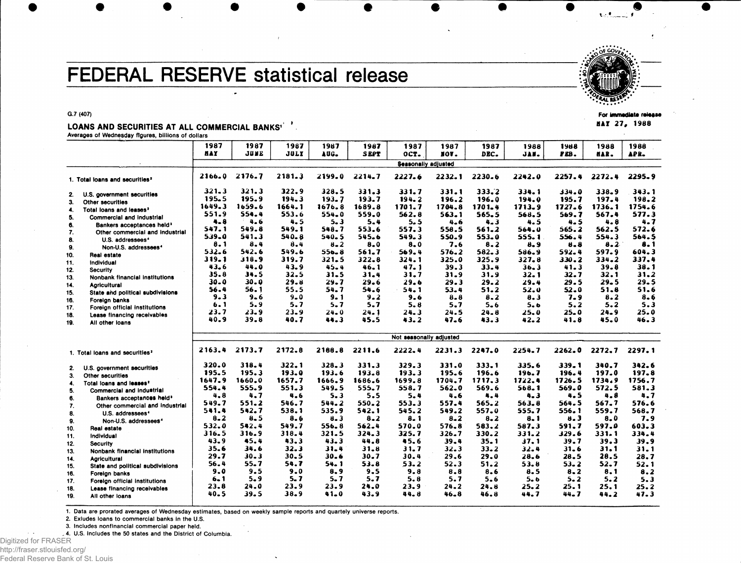## FEDERAL RESERVE statistical release



HAY 27, 1988

**G.7 (407)**

## LOANS AND SECURITIES AT ALL COMMERCIAL BANKS' **Averages of Wednesday figures, billions of dollars**

|                                            |                                                                  | 1987       | 1987     | 1987        | 1987      | 1987        | 1987                    | 1987     | 1987     | 1988      | 1988     | 1988      | 1988        |  |  |
|--------------------------------------------|------------------------------------------------------------------|------------|----------|-------------|-----------|-------------|-------------------------|----------|----------|-----------|----------|-----------|-------------|--|--|
|                                            |                                                                  | <b>HAY</b> | JUNE     | <b>JULY</b> | AUG.      | <b>SEPT</b> | OCT.                    | IOV.     | DEC.     | JAN.      | PEB.     | HAR.      | APR.        |  |  |
|                                            |                                                                  |            |          |             |           |             | Seasonally adjusted     |          |          |           |          |           |             |  |  |
| 1. Total loans and securities <sup>3</sup> |                                                                  | 2166.0     | 2176.7   | 2181.3      | 2199.0    | 2214.7      | 2227.6                  | 2232.1   | 2230.6   | 2242.0    | 2257.4   | 2272.4    | 2295.9      |  |  |
| 2.                                         | U.S. government securities                                       | $321 - 3$  | 321.3    | 322.9       | 328.5     | 331.3       | 331.7                   | 331.1    | 333.2    | 334.1     | 334.0    | 338.9     | 343.1       |  |  |
| 3.                                         | Other securities                                                 | 195.5      | 195.9    | 194.3       | 193.7     | 193.7       | 194.2                   | 196.2    | 196.0    | 194.0     | 195.7    | 197.4     | 198.2       |  |  |
| 4.                                         | Total loans and leases <sup>2</sup>                              | 1649.3     | 1659.6   | 1664.1      | 1676.8    | 1689.8      | 1701.7                  | 1704.8   | 1701.4   | 1713.9    | 1727.6   | 1736.1    | 1754.6      |  |  |
| 5.                                         | <b>Commercial and industrial</b>                                 | 551.9      | 554.4    | 553.6       | $554 - 0$ | 559.0       | 562.8                   | 563.1    | 565.5    | 568.5     | 569.7    | 567.4     | 577.3       |  |  |
| 6.                                         | Bankers acceptances held <sup>3</sup>                            | $4 - 8$    | $4 - 6$  | 4.5         | $5 - 3$   | 5.4         | 5.5                     | 4.6      | 4.3      | 4.5       | 4.5      | 4.8       | 4.7         |  |  |
| 7.                                         | Other commercial and industrial                                  | 547.1      | 549.8    | 549.1       | 548.7     | 553.6       | 557.3                   | 558.5    | 561.2    | 564.0     | 565.2    | 562.5     | 572.6       |  |  |
| 8.                                         | U.S. addressees <sup>4</sup>                                     | 539.0      | 541.3    | $540 - 8$   | 540.5     | 545.6       | 549.3                   | 550.9    | 553.0    | 555.1     | 556.4    | 554.3     | 564.5       |  |  |
| 9.                                         | Non-U.S. addressees <sup>4</sup>                                 | 8.1        | 8.4      | 8.4         | $8 - 2$   | $8 - 0$     | $8 - 0$                 | 7.6      | 8.2      | 8.9       | $8 - 8$  | 8.2       | 8.1         |  |  |
| 10.                                        | Real estate                                                      | 532.6      | 542.6    | 549.6       | 556.8     | 561.7       | 569.4                   | 576.2    | 582.3    | 586.9     | 592.4    | 597.9     | 604.3       |  |  |
| 11.                                        | Individual                                                       | 319.1      | 318.9    | 319.7       | $321 - 5$ | 322.8       | 324.1                   | 325.0    | 325.9    | 327.8     | 330.2    | 334.2     | 337.4       |  |  |
| 12.                                        | <b>Security</b>                                                  | 43.6       | 44.0     | 43.9        | $45 - 4$  | 46.1        | 47.1                    | 39.3     | 33.4     | 36.3      | 41.3     | 39.8      | 38.1        |  |  |
| 13.                                        | Nonbank financial institutions                                   | 35.8       | 34.5     | 32.5        | $31 - 5$  | 31.4        | 31.7                    | 31.9     | 31.9     | 32.1      | 32.7     | 32.1      | 31.2        |  |  |
| 14.                                        | <b>Agricultural</b>                                              | 30.0       | 30.0     | 29.8        | 29.7      | 29.6        | 29.6                    | 29.3     | 29.2     | 29.4      | 29.5     | 29.5      | 29.5        |  |  |
| 15.                                        | State and political subdivisions                                 | 56.4       | 56.1     | 55.5        | 54.7      | 54.6        | 54.1                    | 53.4     | 51.2     | 52.0      | $52 - 0$ | 51.8      | 51.6        |  |  |
| 16.                                        | Foreign banks                                                    | $9 - 3$    | $9 - 6$  | $9 - 0$     | $9 - 1$   | 9.2         | 9.6                     | $8 - 8$  | 8.2      | 8.3       | 7.9      | 8.2       | $8 - 6$     |  |  |
| 17.                                        | Foreign official institutions                                    | 6.1        | 5.9      | 5.7         | $5 - 7$   | 5.7         | 5.8                     | 5.7      | 5.6      | 5.6       | 5.2      | 5.2       | 5.3         |  |  |
| 18.                                        | Lease financing receivables                                      | 23.7       | $23 - 9$ | 23.9        | 24.0      | 24.1        | 24.3                    | 24.5     | $24 - 8$ | 25.0      | 25.0     | 24.9      | 25.0        |  |  |
| 19.                                        | All other loans                                                  | 40.9       | 39.8     | 40.7        | 44.3      | 45.5        | 43.2                    | 47.6     | 43.3     | 42.2      | 41.8     | 45.0      | 46.3        |  |  |
|                                            |                                                                  |            |          |             |           |             | Not seasonally adjusted |          |          |           |          |           |             |  |  |
|                                            | 1. Total loans and securities <sup>2</sup>                       | 2163.4     | 2173.7   | 2172.8      | 2188.8    | 2211.6      | 2222.4                  | 2231.3   | 2247.0   | 2254.7    | 2262.0   | 2272.7    | 2297.1      |  |  |
|                                            | U.S. government securities                                       | 320.0      | 318.4    | 322.1       | $328 - 3$ | 331.3       | 329.3                   | 331.0    | 333.1    | 335.6     | 339.1    | 340.7     | 342.6       |  |  |
| 2.                                         |                                                                  | 195.5      | 195.3    | 193.0       | 193.6     | 193.8       | 193.3                   | 195.6    | 196.6    | 196.7     | 196.4    | 197.0     | 197.8       |  |  |
| 3.                                         | Other securities                                                 | 1647.9     | 1660.0   | 1657.7      | 1666.9    | 1686.6      | 1699.8                  | 1704.7   | 1717.3   | 1722.4    | 1726.5   | 1734.9    | 1756.7      |  |  |
| 4.                                         | Total loans and leases <sup>2</sup><br>Commercial and industrial | 554.4      | 555.9    | 551.3       | 549.5     | 555.7       | 558.7                   | 562.0    | 569.6    | 568.1     | 569.0    | 572.5     | 581.3       |  |  |
| 5.                                         |                                                                  | 4.8        | 4.7      | 4.6         | 5.3       | 5.5         | 5.4                     | 4.6      | $4 - 4$  | 4.3       | 4.5      | 4.8       | 4.7         |  |  |
| 6.                                         | Bankers acceptances held <sup>3</sup>                            | 549.7      | 551.2    | 546.7       | 544.2     | 550.2       | 553.3                   | 557.4    | 565.2    | 563.8     | 564.5    | 567.7     | 576.6       |  |  |
| 7.                                         | Other commercial and industrial                                  | 541.4      | 542.7    | 538.1       | 535.9     | 542.1       | 545.2                   | 549.2    | 557.0    | 555.7     | 556.1    | 559.7     | 568.7       |  |  |
| 8.                                         | U.S. addressees <sup>4</sup>                                     | $8 - 2$    | $8 - 5$  | 8.6         | $8 - 3$   | $8 - 2$     | $8 - 1$                 | $8 - 2$  | $8 - 2$  | 8.1       | 8.3      | $8 - 0$   | 7.9         |  |  |
| 9.                                         | Non-U.S. addressees <sup>4</sup>                                 | 532.0      | 542.4    | 549.7       | 556.8     | 562.4       | 570.0                   | 576.8    | 583.2    | 587.3     | 591.7    | 597.0     | 603.3       |  |  |
| 10.                                        | Real estate                                                      | 316.5      | 316.9    | 318.4       | 321.5     | 324.3       | 325.7                   | 326.7    | 330.2    | $331 - 2$ | 329.6    | $331 - 1$ | 334.4       |  |  |
| 11.                                        | individual                                                       | 43.9       | 45.4     | 43.3        | 43.3      | 44.8        | 45.6                    | 39.4     | $35 - 1$ | 37.1      | 39.7     | 39.3      | 39.9        |  |  |
| 12.                                        | <b>Security</b>                                                  | 35.6       | 34.6     | 32.3        | 31.4      | 31.8        | 31.7                    | 32.3     | $33 - 2$ | 32.4      | $31 - 6$ | 31.1      | 31.1        |  |  |
| 13.                                        | Nonbank financial institutions                                   | 29.7       | 30.3     | 30.5        | 30.6      | 30.7        | 30.4                    | 29.6     | 29.0     | 28.6      | 28.5     | 28.5      | 28.7        |  |  |
| 14.                                        | <b>Agricultural</b>                                              | 56.4       | 55.7     | 54.7        | 54.1      | 53.8        | 53.2                    | 52.3     | 51.2     | 53.8      | $53 - 2$ | 52.7      | 52.1        |  |  |
| 15.                                        | State and political subdivisions                                 | 9.0        | 9.5      | 9.0         | 8.9       | 9.5         | 9.8                     | $8 - 8$  | 8.6      | 8.5       | $8 - 2$  | 8.1       | 8.2         |  |  |
| 16.                                        | Foreign banks                                                    | 6.1        | $5 - 9$  | 5.7         | 5.7       | 5.7         | 5.8                     | 5.7      | 5.6      | 5.6       | $5 - 2$  | 5.2       |             |  |  |
| 17.                                        | Foreign official institutions                                    | 23.8       | 24.0     | 23.9        | 23.9      | 24.0        | 23.9                    | $24 - 2$ | 24.8     | 25.2      | 25.1     | 25.1      | 5.3<br>25.2 |  |  |
| 18.<br>19.                                 | Lease financing receivables<br>All other loans                   | 40.5       | 39.5     | 38.9        | $41 - 0$  | 43.9        | 44.8                    | $46 - 8$ | 46.8     | 44.7      | $44 - 7$ | 44.2      | 47.3        |  |  |

1. Data are prorated averages of Wednesday estimates, based on weekly sample reports and quartely universe reports.

2. Exludes loans to commercial banks in the U.S.

3. Includes nonflnancial commercial paper held.

4. U.S. includes the 50 states and the District of Columbia.

Digitized for FRASER http://fraser.stlouisfed.org/ Federal Reserve Bank of St. Louis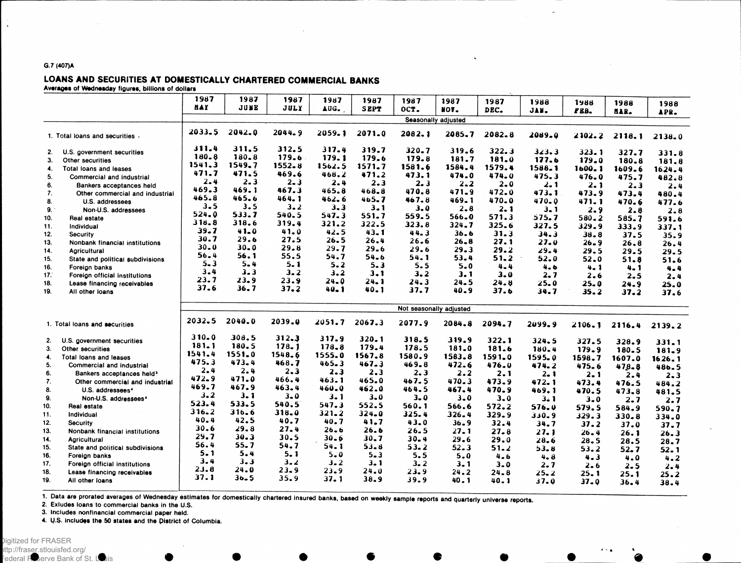## **G.7** (407)A

 $\bullet$ 

LOANS AND SECURITIES AT DOMESTICALLY CHARTERED COMMERCIAL BANKS

Averages of Wednesday figures, billions of dollars

|     |                                                             | 1987      | 1987       | 1987        | 1987      | 1987        | 1987                    | 1987      | 1987    | 1988      | 1988     | 1988           |                 |
|-----|-------------------------------------------------------------|-----------|------------|-------------|-----------|-------------|-------------------------|-----------|---------|-----------|----------|----------------|-----------------|
|     |                                                             | nay.      | JUNE       | <b>JULY</b> | AUG.      | <b>SEPT</b> | OCT.                    | NOV.      | DEC.    | JAN.      | FBB.     |                | 1988            |
|     |                                                             |           |            |             |           |             | Seasonally adjusted     |           |         |           |          | HAR.           | APR.            |
|     |                                                             |           |            |             |           |             |                         |           |         |           |          |                |                 |
|     | 1. Total loans and securities.                              | 2033.5    | $2042 - 0$ | 2044.9      | 2059.1    | 2071.0      | 2082.1                  | 2085.7    | 2082.8  | 2089.0    | 2102.2   | 2118.1         | 2138.0          |
| 2.  | U.S. government securities                                  | 311.4     | 311.5      | 312.5       | 317.4     | 319.7       | 320.7                   | 319.6     | 322.3   | 323.3     | 323.1    |                |                 |
| 3.  | Other securities                                            | 180.8     | $180 - 8$  | 179.6       | 179.1     | 179.6       | 179.8                   | 181.7     | 181.0   | 177.6     | 179.0    | 327.7<br>180.8 | 331.8           |
| 4.  | Total loans and leases                                      | 1541.3    | 1549.7     | $1552 - 8$  | 1562.5    | 1571.7      | 1581.6                  | 1584.4    | 1579.4  | 1588.1    | 1600.1   | 1609.6         | 181.8           |
| 5.  | Commercial and industrial                                   | 471.7     | 471.5      | 469.6       | 468.2     | 471.2       | 473.1                   | 474.0     | 474.0   | 475.3     | 476.0    | 475.7          | 1624.4<br>482.8 |
| 6.  |                                                             | 2.4       | 2.3        | $2 - 3$     | 2.4       | $2 - 3$     | 2.3                     | $2 - 2$   | $2 - 0$ | 2. 1      | 2.1      | 2.3            |                 |
| 7.  | Bankers acceptances held<br>Other commercial and industrial | 469.3     | 469.1      | 467.3       | 465.8     | 468.8       | 470.8                   | $471 - 9$ | 472.0   | 473.1     | 473.9    | 473.4          | 2.4<br>480.4    |
| 8.  | U.S. addressees                                             | 465.8     | 465.6      | 464.1       | 462.6     | 465.7       | 467.8                   | $469 - 1$ | 470.0   | $470 - 0$ | 471.1    | 470.6          |                 |
| 9.1 | Non-U.S. addressees                                         | $3 - 5$   | 3.5        | 3.2         | $3 - 3$   | $3 - 1$     | 3.0                     | $2 - 8$   | 2.1     | 3.1       | 2.9      | 2.8            | 477.6           |
| 10. | Real estate                                                 | 524.0     | 533.7      | 540.5       | 547.3     | 551.7       | 559.5                   | 566.0     | 571.3   | 575.7     | 580.2    | 585.7          | 2.8             |
| 11. | Individual                                                  | 318.8     | 318.6      | 319.4       | 321.2     | 322.5       | 323.8                   | 324.7     | 325.6   | 327.5     | 329.9    |                | 591.6           |
| 12. | Security                                                    | 39.7      | 41.0       | 41.0        | 42.5      | 43.1        | 44.3                    | 36.6      | 31.3    | 34.3      | 38.8     | 333.9<br>37.5  | 337.1           |
| 13. | Nonbank financial institutions                              | 30.7      | 29.6       | 27.5        | 26.5      | 26.4        | 26.6                    | $26 - 8$  | 27.1    | 27.0      | $26 - 9$ | 26.8           | 35.9            |
| 14. | <b>Agricultural</b>                                         | $30 - 0$  | 30.0       | 29.8        | 29.7      | 29.6        | 29.6                    | 29.3      | 29.2    | 29.4      | 29.5     | 29.5           | 26.4            |
| 15. |                                                             | 56.4      | 56.1       | 55.5        | 54.7      | 54.6        | 54.1                    | 53.4      | 51.2    | 52.0      | 52.0     |                | 29.5            |
| 16. | State and political subdivisions<br>Foreign banks           | $5 - 3$   | $5 - 4$    | $5 - 1$     | $5 - 2$   | $5 - 3$     | 5.5                     | 5.0       | $4 - 4$ | 4.6       | $4 - 1$  | 51.8           | 51.6            |
| 17. | Foreign official institutions                               | 3.4       | 3.3        | 3.2         | 3.2       | 3.1         | $3 - 2$                 | 3. 1      | 3.0     | 2.7       | 2.6      | 4.1            | 4.4             |
| 18. | Lease financing receivables                                 | 23.7      | 23.9       | 23.9        | 24.0      | 24. 1       | 24.3                    | 24.5      | 24.8    | $25 - 0$  | 25.0     | 2.5            | 2.4             |
| 19. | All other loans                                             | 37.6      | 36.7       | 37.2        | $40 - 1$  | 40.1        | 37.7                    | 40.9      | 37.6    | 34.7      | 35.2     | 24.9<br>37.2   | 25.0<br>37.6    |
|     |                                                             |           |            |             |           |             |                         |           |         |           |          |                |                 |
|     |                                                             |           |            |             |           |             | Not seasonally adjusted |           |         |           |          |                |                 |
|     |                                                             | 2032.5    | 2040.0     | 2039.0      | 2051.7    | 2067.3      | 2077.9                  | 2084.8    |         |           |          |                |                 |
|     | 1. Total loans and securities                               |           |            |             |           |             |                         |           | 2094.7  | 2099.9    | 2106.1   | 2116.4         | 2139.2          |
| 2.  | U.S. government securities                                  | $310 - 0$ | 308.5      | 312.3       | 317.9     | 320.1       | 318.5                   | 319.9     | 322.1   | 324.5     | 327.5    | 328.9          | 331.1           |
| 3.  | Other securities                                            | 181.1     | 180.5      | 178.1       | 178.8     | 179.4       | 178.5                   | 181.0     | 181.6   | 180.4     | 179.9    | 180.5          | 181.9           |
| 4.  | Total loans and leases                                      | 1541.4    | 1551.0     | 1548.6      | 1555.0    | 1567.8      | 1580.9                  | 1583.8    | 1591.0  | 1595.0    | 1598.7   | 1607.0         | 1626.1          |
| 5.  | Commercial and industrial                                   | 475.3     | 473.4      | 468.7       | 465.3     | 467.3       | $469 - 8$               | 472.6     | 476.0   | 474.2     | 475.6    | $478 - 8$      | 486.5           |
| 6.  | Bankers acceptances held <sup>3</sup>                       | $2 - 4$   | 2.4        | 2.3         | $2 - 3$   | 2.3         | 2.3                     | 2.2       | 2.1     | 2.1       | 2.1      | 2.4            | $2 - 3$         |
| 7.  | Other commercial and industrial                             | 472.9     | 471.0      | 466.4       | 463.1     | 465.0       | 467.5                   | 470.3     | 473.9   | 472.1     | 473.4    | 476.5          | 484.2           |
| 8.  | U.S. addressees <sup>4</sup>                                | 469.7     | 467.9      | 463.4       | 460.0     | 462.0       | 464.5                   | 467.4     | 470.9   | 469.1     | 470.5    | 473.8          | 481.5           |
| 9.  | Non-U.S. addressees <sup>4</sup>                            | 3.2       | $3 - 1$    | 3.0         | $3 - 1$   | $3 - 0$     | 3.0                     | $3 - 0$   | $3 - 0$ | $3 - 1$   | $3 - 0$  | 2.7            | 2.7             |
| 10. | Real estate                                                 | 523.4     | 533.5      | 540.5       | 547.3     | 552.5       | 560.1                   | 566.6     | 572.2   | 576.0     | 579.5    | 584.9          | 590.7           |
| 11. | Individual                                                  | 316.2     | 316.6      | 318.0       | $321 - 2$ | $324 - 0$   | 325.4                   | 326.4     | 329.9   | 9 ـ30 ك   | 329.3    | $330 - 8$      | 334.0           |
| 12. | <b>Security</b>                                             | 40.4      | 42.5       | 40.7        | 40.7      | 41.7        | 43.0                    | 36.9      | 32.4    | 34.7      | 37.2     | 37.0           | 37.7            |
| 13. | Nonbank financial institutions                              | 30.6      | 29.8       | 27.4        | 26. в     | 26.6        | 26.5                    | 27. 1     | 27.8    | 27.1      | $26 - 4$ | 26.1           | 26.3            |
| 14. | Agricultural                                                | 29.7      | 30.3       | 30.5        | 30.6      | $30 - 7$    | $30 - 4$                | 29.6      | 29.0    | $28 - 6$  | 28.5     | 28.5           | 28.7            |
| 15. | State and political subdivisions                            | 56.4      | 55.7       | 54.7        | 54.1      | $53 - 8$    | 53.2                    | $52 - 3$  | 51.2    | 53.8      | 53.2     | $52 - 7$       | 52.1            |
| 16. | Foreign banks                                               | $5 - 1$   | 5.4        | 5.1         | $5 - 0$   | $5 - 3$     | 5.5                     | 5.0       | 4.6     | 4.8       | 4.3      | 4.0            | 4.2             |
| 17. | Foreign official institutions                               | 3.4       | 3.3        | 3.2         | 3.2       | $3 - 1$     | 3.2                     | 3.1       | $3 - 0$ | 2. 7      | $2 - 6$  | $2 - 5$        | 2.4             |
| 18. | Lease financing receivables                                 | 23.8      | 24.0       | 23.9        | 23.9      | 24.0        | 23.9                    | 24.2      | 24.8    | 25.2      | 25.1     | 25.1           | 25.2            |
| 19. | All other loans                                             | 37.1      | $36 - 5$   | 35.9        | 37.1      | 38.9        | 39.9                    | 40.1      | 40.1    | 37.0      | 37.0     | 36.4           | 38.4            |
|     |                                                             |           |            |             |           |             |                         |           |         |           |          |                |                 |

1. Data are prorated averages of Wednesday estimates for domestically chartered insured banks, based on weekly sample reports and quarterly universe reports.

2. **Exludes loans to commercial banks in the U.S.**

**3. Includes nonfinancial commercial paper held.**

4. **U.S. Includes the** 50 **states and the Pistrlct of Columbia.**